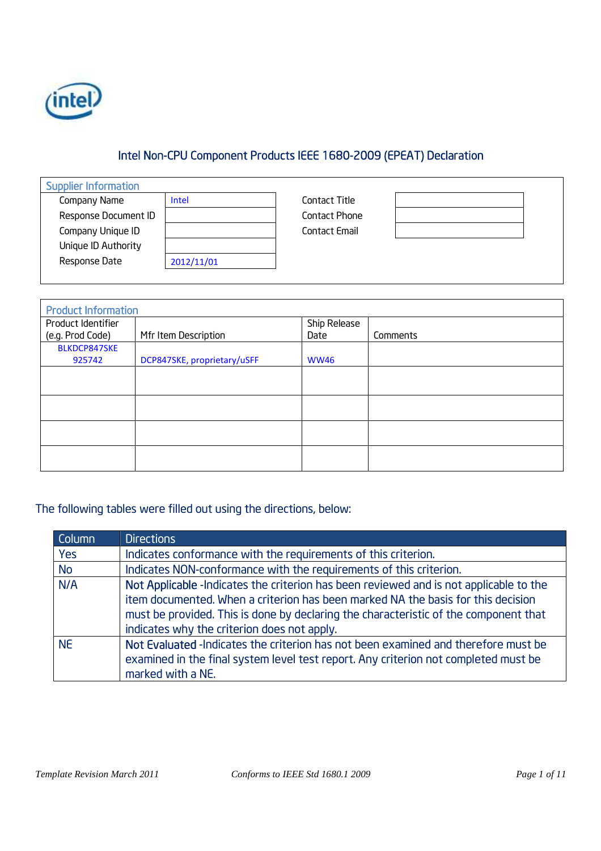

# Intel Non-CPU Component Products IEEE 1680-2009 (EPEAT) Declaration

| <b>Supplier Information</b> |            |
|-----------------------------|------------|
| Company Name                | Intel      |
| Response Document ID        |            |
| Company Unique ID           |            |
| Unique ID Authority         |            |
| Response Date               | 2012/11/01 |
|                             |            |

Contact Title Contact Phone Contact Email

| <b>Product Information</b> |                             |              |          |
|----------------------------|-----------------------------|--------------|----------|
| Product Identifier         |                             | Ship Release |          |
| (e.g. Prod Code)           | Mfr Item Description        | Date         | Comments |
| BLKDCP847SKE               |                             |              |          |
| 925742                     | DCP847SKE, proprietary/uSFF | <b>WW46</b>  |          |
|                            |                             |              |          |
|                            |                             |              |          |
|                            |                             |              |          |
|                            |                             |              |          |
|                            |                             |              |          |

## The following tables were filled out using the directions, below:

| Column    | <b>Directions</b>                                                                                                                                                                                                                                                                                                 |
|-----------|-------------------------------------------------------------------------------------------------------------------------------------------------------------------------------------------------------------------------------------------------------------------------------------------------------------------|
| Yes       | Indicates conformance with the requirements of this criterion.                                                                                                                                                                                                                                                    |
| No        | Indicates NON-conformance with the requirements of this criterion.                                                                                                                                                                                                                                                |
| N/A       | Not Applicable -Indicates the criterion has been reviewed and is not applicable to the<br>item documented. When a criterion has been marked NA the basis for this decision<br>must be provided. This is done by declaring the characteristic of the component that<br>indicates why the criterion does not apply. |
| <b>NE</b> | Not Evaluated -Indicates the criterion has not been examined and therefore must be<br>examined in the final system level test report. Any criterion not completed must be<br>marked with a NE.                                                                                                                    |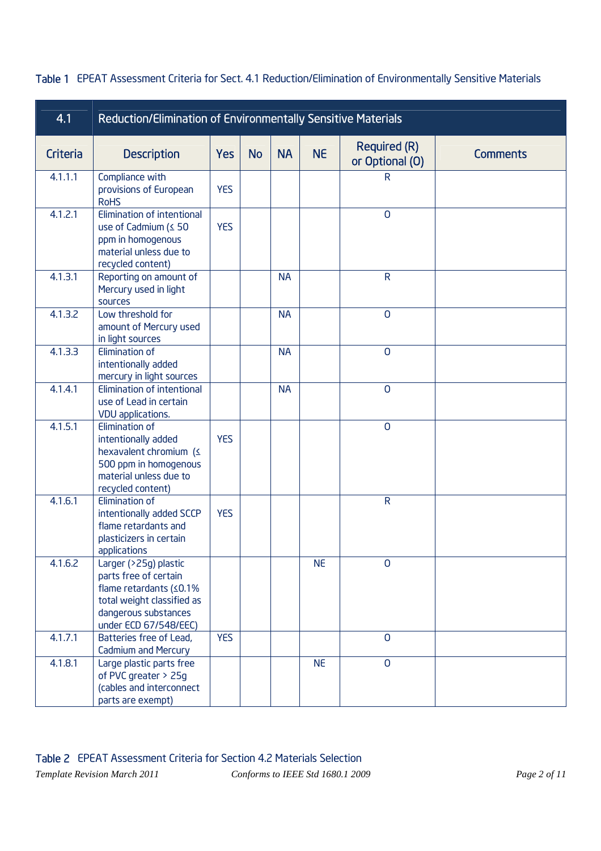| 4.1      | Reduction/Elimination of Environmentally Sensitive Materials                                                                                                |            |           |           |           |                                        |                 |  |  |  |  |
|----------|-------------------------------------------------------------------------------------------------------------------------------------------------------------|------------|-----------|-----------|-----------|----------------------------------------|-----------------|--|--|--|--|
| Criteria | <b>Description</b>                                                                                                                                          | <b>Yes</b> | <b>No</b> | <b>NA</b> | <b>NE</b> | <b>Required (R)</b><br>or Optional (O) | <b>Comments</b> |  |  |  |  |
| 4.1.1.1  | Compliance with<br>provisions of European<br><b>RoHS</b>                                                                                                    | <b>YES</b> |           |           |           | R                                      |                 |  |  |  |  |
| 4.1.2.1  | Elimination of intentional<br>use of Cadmium (≤ 50<br>ppm in homogenous<br>material unless due to<br>recycled content)                                      | <b>YES</b> |           |           |           | $\overline{0}$                         |                 |  |  |  |  |
| 4.1.3.1  | Reporting on amount of<br>Mercury used in light<br>sources                                                                                                  |            |           | <b>NA</b> |           | $\mathsf{R}$                           |                 |  |  |  |  |
| 4.1.3.2  | Low threshold for<br>amount of Mercury used<br>in light sources                                                                                             |            |           | <b>NA</b> |           | $\mathsf{O}$                           |                 |  |  |  |  |
| 4.1.3.3  | Elimination of<br>intentionally added<br>mercury in light sources                                                                                           |            |           | <b>NA</b> |           | $\mathbf 0$                            |                 |  |  |  |  |
| 4.1.4.1  | Elimination of intentional<br>use of Lead in certain<br>VDU applications.                                                                                   |            |           | <b>NA</b> |           | $\overline{0}$                         |                 |  |  |  |  |
| 4.1.5.1  | <b>Elimination of</b><br>intentionally added<br>hexavalent chromium (<br>500 ppm in homogenous<br>material unless due to<br>recycled content)               | <b>YES</b> |           |           |           | $\overline{0}$                         |                 |  |  |  |  |
| 4.1.6.1  | Elimination of<br>intentionally added SCCP<br>flame retardants and<br>plasticizers in certain<br>applications                                               | <b>YES</b> |           |           |           | $\mathsf{R}$                           |                 |  |  |  |  |
| 4.1.6.2  | Larger (>25g) plastic<br>parts free of certain<br>flame retardants $(50.1\%$<br>total weight classified as<br>dangerous substances<br>under ECD 67/548/EEC) |            |           |           | <b>NE</b> | $\overline{0}$                         |                 |  |  |  |  |
| 4.1.7.1  | Batteries free of Lead,<br>Cadmium and Mercury                                                                                                              | <b>YES</b> |           |           |           | $\overline{0}$                         |                 |  |  |  |  |
| 4.1.8.1  | Large plastic parts free<br>of PVC greater > 25g<br>(cables and interconnect<br>parts are exempt)                                                           |            |           |           | <b>NE</b> | $\overline{0}$                         |                 |  |  |  |  |

#### Table 1 EPEAT Assessment Criteria for Sect. 4.1 Reduction/Elimination of Environmentally Sensitive Materials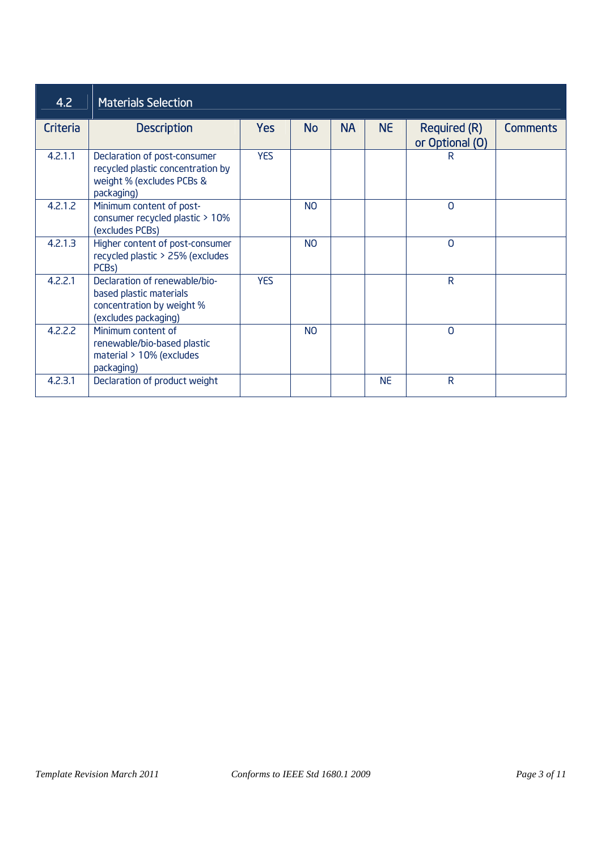| 4.2      | <b>Materials Selection</b>                                                                                    |            |                |           |           |                                        |                 |
|----------|---------------------------------------------------------------------------------------------------------------|------------|----------------|-----------|-----------|----------------------------------------|-----------------|
| Criteria | <b>Description</b>                                                                                            | <b>Yes</b> | <b>No</b>      | <b>NA</b> | <b>NE</b> | <b>Required (R)</b><br>or Optional (O) | <b>Comments</b> |
| 4.2.1.1  | Declaration of post-consumer<br>recycled plastic concentration by<br>weight % (excludes PCBs &<br>packaging)  | <b>YES</b> |                |           |           | R                                      |                 |
| 4.2.1.2  | Minimum content of post-<br>consumer recycled plastic > 10%<br>(excludes PCBs)                                |            | N <sub>O</sub> |           |           | $\Omega$                               |                 |
| 4.2.1.3  | Higher content of post-consumer<br>recycled plastic > 25% (excludes<br>PCB <sub>s</sub> )                     |            | N <sub>O</sub> |           |           | $\mathbf 0$                            |                 |
| 4.2.2.1  | Declaration of renewable/bio-<br>based plastic materials<br>concentration by weight %<br>(excludes packaging) | <b>YES</b> |                |           |           | $\mathsf{R}$                           |                 |
| 4.2.2.2  | Minimum content of<br>renewable/bio-based plastic<br>material > 10% (excludes<br>packaging)                   |            | N <sub>O</sub> |           |           | $\Omega$                               |                 |
| 4.2.3.1  | Declaration of product weight                                                                                 |            |                |           | <b>NE</b> | $\mathsf{R}$                           |                 |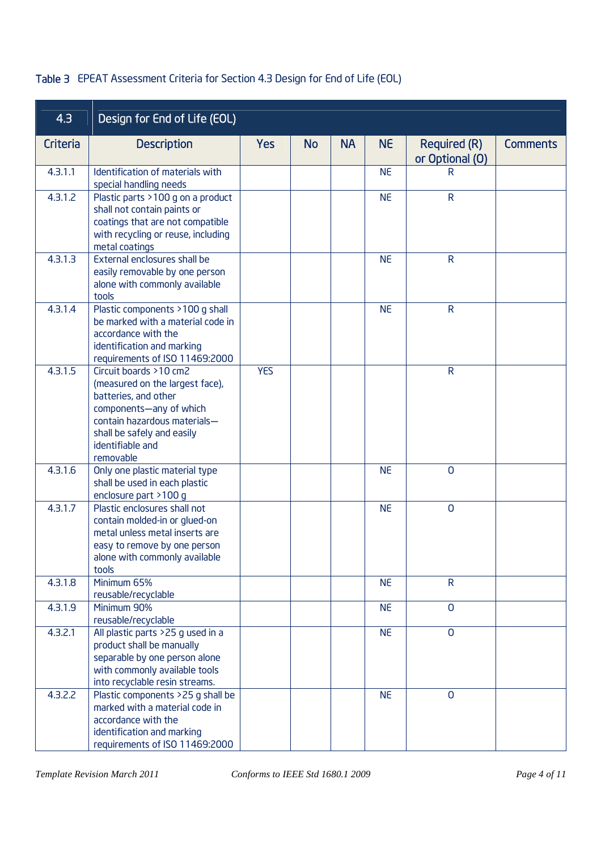## Table 3 EPEAT Assessment Criteria for Section 4.3 Design for End of Life (EOL)

| 4.3      | Design for End of Life (EOL)                                                                                                                                                                                |            |           |           |           |                                        |                 |
|----------|-------------------------------------------------------------------------------------------------------------------------------------------------------------------------------------------------------------|------------|-----------|-----------|-----------|----------------------------------------|-----------------|
| Criteria | <b>Description</b>                                                                                                                                                                                          | <b>Yes</b> | <b>No</b> | <b>NA</b> | <b>NE</b> | <b>Required (R)</b><br>or Optional (O) | <b>Comments</b> |
| 4.3.1.1  | Identification of materials with<br>special handling needs                                                                                                                                                  |            |           |           | <b>NE</b> | R                                      |                 |
| 4.3.1.2  | Plastic parts >100 g on a product<br>shall not contain paints or<br>coatings that are not compatible<br>with recycling or reuse, including<br>metal coatings                                                |            |           |           | <b>NE</b> | $\mathsf{R}$                           |                 |
| 4.3.1.3  | External enclosures shall be<br>easily removable by one person<br>alone with commonly available<br>tools                                                                                                    |            |           |           | <b>NE</b> | $\mathsf{R}$                           |                 |
| 4.3.1.4  | Plastic components >100 g shall<br>be marked with a material code in<br>accordance with the<br>identification and marking<br>requirements of ISO 11469:2000                                                 |            |           |           | <b>NE</b> | $\mathsf{R}$                           |                 |
| 4.3.1.5  | Circuit boards >10 cm2<br>(measured on the largest face),<br>batteries, and other<br>components-any of which<br>contain hazardous materials-<br>shall be safely and easily<br>identifiable and<br>removable | <b>YES</b> |           |           |           | $\mathsf{R}$                           |                 |
| 4.3.1.6  | Only one plastic material type<br>shall be used in each plastic<br>enclosure part >100 g                                                                                                                    |            |           |           | <b>NE</b> | $\overline{0}$                         |                 |
| 4.3.1.7  | Plastic enclosures shall not<br>contain molded-in or glued-on<br>metal unless metal inserts are<br>easy to remove by one person<br>alone with commonly available<br>tools                                   |            |           |           | <b>NE</b> | $\overline{0}$                         |                 |
| 4.3.1.8  | Minimum 65%<br>reusable/recyclable                                                                                                                                                                          |            |           |           | <b>NE</b> | $\mathsf{R}$                           |                 |
| 4.3.1.9  | Minimum 90%<br>reusable/recyclable                                                                                                                                                                          |            |           |           | <b>NE</b> | $\mathbf 0$                            |                 |
| 4.3.2.1  | All plastic parts >25 g used in a<br>product shall be manually<br>separable by one person alone<br>with commonly available tools<br>into recyclable resin streams.                                          |            |           |           | <b>NE</b> | $\mathbf 0$                            |                 |
| 4.3.2.2  | Plastic components >25 g shall be<br>marked with a material code in<br>accordance with the<br>identification and marking<br>requirements of ISO 11469:2000                                                  |            |           |           | <b>NE</b> | $\mathbf 0$                            |                 |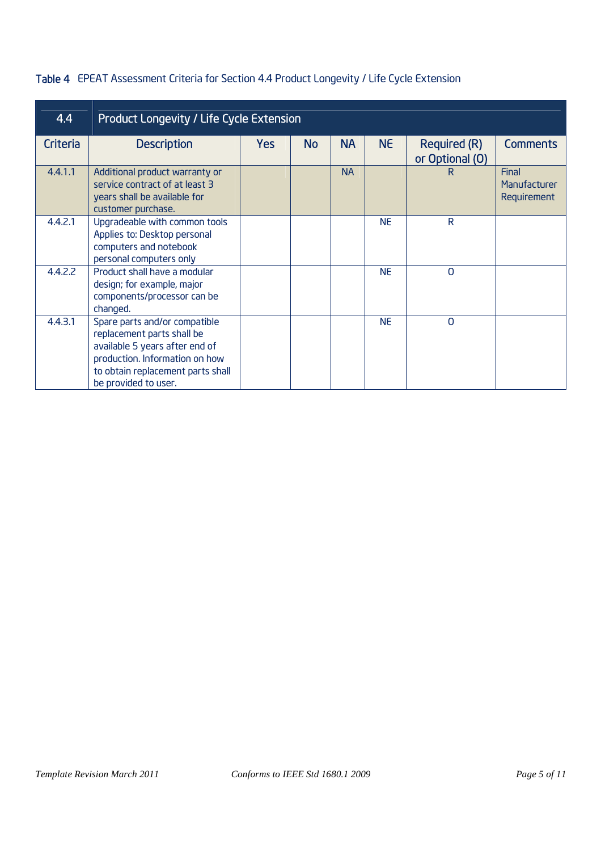## Table 4 EPEAT Assessment Criteria for Section 4.4 Product Longevity / Life Cycle Extension

| 4.4      | <b>Product Longevity / Life Cycle Extension</b>                                                                                                                                              |            |           |           |           |                                        |                                      |  |  |  |
|----------|----------------------------------------------------------------------------------------------------------------------------------------------------------------------------------------------|------------|-----------|-----------|-----------|----------------------------------------|--------------------------------------|--|--|--|
| Criteria | <b>Description</b>                                                                                                                                                                           | <b>Yes</b> | <b>No</b> | <b>NA</b> | <b>NE</b> | <b>Required (R)</b><br>or Optional (O) | <b>Comments</b>                      |  |  |  |
| 4.4.1.1  | Additional product warranty or<br>service contract of at least 3<br>years shall be available for<br>customer purchase.                                                                       |            |           | <b>NA</b> |           | R                                      | Final<br>Manufacturer<br>Requirement |  |  |  |
| 4.4.2.1  | Upgradeable with common tools<br>Applies to: Desktop personal<br>computers and notebook<br>personal computers only                                                                           |            |           |           | <b>NE</b> | $\mathsf{R}$                           |                                      |  |  |  |
| 4.4.2.2  | Product shall have a modular<br>design; for example, major<br>components/processor can be<br>changed.                                                                                        |            |           |           | <b>NF</b> | $\Omega$                               |                                      |  |  |  |
| 4.4.3.1  | Spare parts and/or compatible<br>replacement parts shall be<br>available 5 years after end of<br>production. Information on how<br>to obtain replacement parts shall<br>be provided to user. |            |           |           | <b>NE</b> | $\Omega$                               |                                      |  |  |  |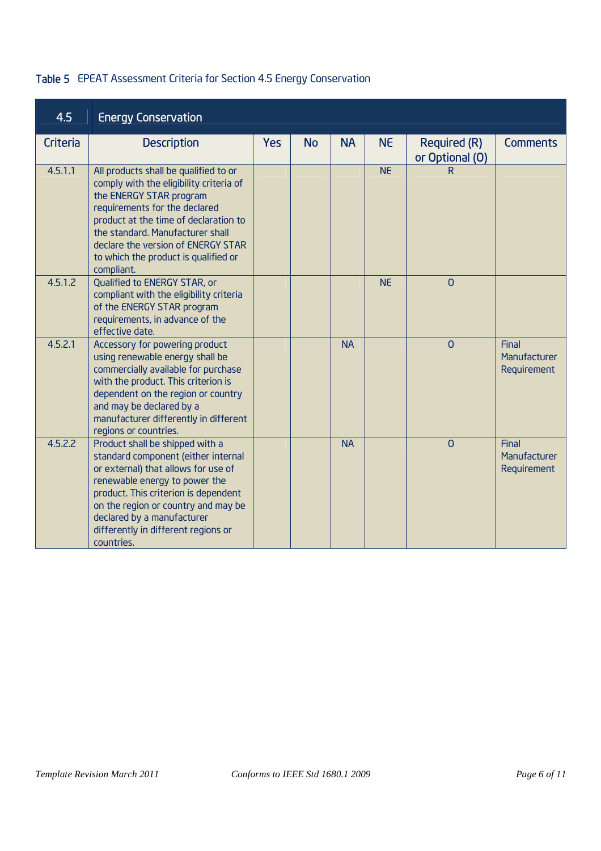## Table 5 EPEAT Assessment Criteria for Section 4.5 Energy Conservation

| 4.5      | <b>Energy Conservation</b>                                                                                                                                                                                                                                                                                            |            |           |           |           |                                        |                                      |
|----------|-----------------------------------------------------------------------------------------------------------------------------------------------------------------------------------------------------------------------------------------------------------------------------------------------------------------------|------------|-----------|-----------|-----------|----------------------------------------|--------------------------------------|
| Criteria | <b>Description</b>                                                                                                                                                                                                                                                                                                    | <b>Yes</b> | <b>No</b> | <b>NA</b> | <b>NE</b> | <b>Required (R)</b><br>or Optional (O) | <b>Comments</b>                      |
| 4.5.1.1  | All products shall be qualified to or<br>comply with the eligibility criteria of<br>the ENERGY STAR program<br>requirements for the declared<br>product at the time of declaration to<br>the standard. Manufacturer shall<br>declare the version of ENERGY STAR<br>to which the product is qualified or<br>compliant. |            |           |           | <b>NE</b> | R                                      |                                      |
| 4.5.1.2  | Qualified to ENERGY STAR, or<br>compliant with the eligibility criteria<br>of the ENERGY STAR program<br>requirements, in advance of the<br>effective date.                                                                                                                                                           |            |           |           | <b>NE</b> | $\overline{0}$                         |                                      |
| 4.5.2.1  | <b>Accessory for powering product</b><br>using renewable energy shall be<br>commercially available for purchase<br>with the product. This criterion is<br>dependent on the region or country<br>and may be declared by a<br>manufacturer differently in different<br>regions or countries.                            |            |           | <b>NA</b> |           | $\Omega$                               | Final<br>Manufacturer<br>Requirement |
| 4.5.2.2  | Product shall be shipped with a<br>standard component (either internal<br>or external) that allows for use of<br>renewable energy to power the<br>product. This criterion is dependent<br>on the region or country and may be<br>declared by a manufacturer<br>differently in different regions or<br>countries.      |            |           | <b>NA</b> |           | $\Omega$                               | Final<br>Manufacturer<br>Requirement |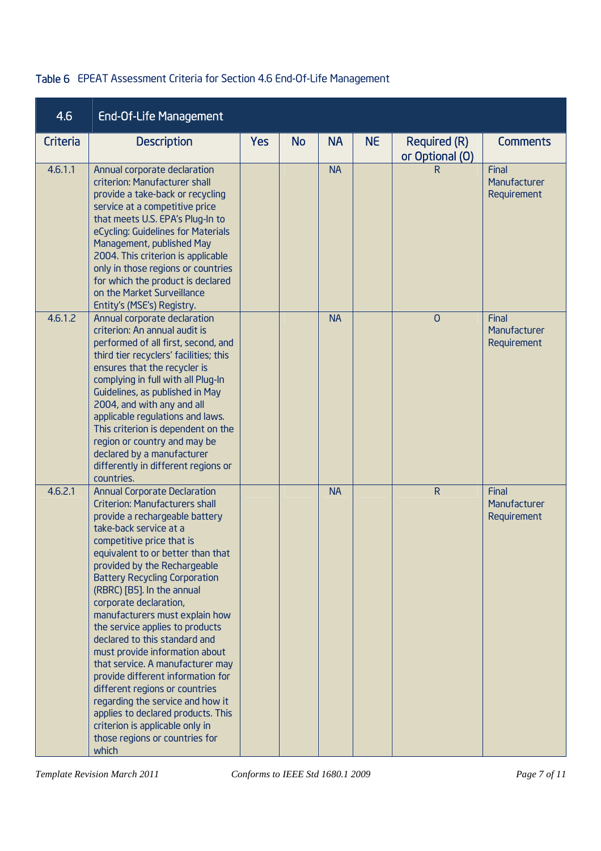#### Table 6 EPEAT Assessment Criteria for Section 4.6 End-Of-Life Management

| 4.6      | <b>End-Of-Life Management</b>                                                                                                                                                                                                                                                                                                                                                                                                                                                                                                                                                                                                                                                                                                                         |            |           |           |           |                                        |                                      |
|----------|-------------------------------------------------------------------------------------------------------------------------------------------------------------------------------------------------------------------------------------------------------------------------------------------------------------------------------------------------------------------------------------------------------------------------------------------------------------------------------------------------------------------------------------------------------------------------------------------------------------------------------------------------------------------------------------------------------------------------------------------------------|------------|-----------|-----------|-----------|----------------------------------------|--------------------------------------|
| Criteria | <b>Description</b>                                                                                                                                                                                                                                                                                                                                                                                                                                                                                                                                                                                                                                                                                                                                    | <b>Yes</b> | <b>No</b> | <b>NA</b> | <b>NE</b> | <b>Required (R)</b><br>or Optional (O) | <b>Comments</b>                      |
| 4.6.1.1  | Annual corporate declaration<br>criterion: Manufacturer shall<br>provide a take-back or recycling<br>service at a competitive price<br>that meets U.S. EPA's Plug-In to<br>eCycling: Guidelines for Materials<br>Management, published May<br>2004. This criterion is applicable<br>only in those regions or countries<br>for which the product is declared<br>on the Market Surveillance<br>Entity's (MSE's) Registry.                                                                                                                                                                                                                                                                                                                               |            |           | <b>NA</b> |           | R.                                     | Final<br>Manufacturer<br>Requirement |
| 4.6.1.2  | Annual corporate declaration<br>criterion: An annual audit is<br>performed of all first, second, and<br>third tier recyclers' facilities; this<br>ensures that the recycler is<br>complying in full with all Plug-In<br>Guidelines, as published in May<br>2004, and with any and all<br>applicable regulations and laws.<br>This criterion is dependent on the<br>region or country and may be<br>declared by a manufacturer<br>differently in different regions or<br>countries.                                                                                                                                                                                                                                                                    |            |           | <b>NA</b> |           | $\overline{0}$                         | Final<br>Manufacturer<br>Requirement |
| 4.6.2.1  | <b>Annual Corporate Declaration</b><br><b>Criterion: Manufacturers shall</b><br>provide a rechargeable battery<br>take-back service at a<br>competitive price that is<br>equivalent to or better than that<br>provided by the Rechargeable<br><b>Battery Recycling Corporation</b><br>(RBRC) [B5]. In the annual<br>corporate declaration,<br>manufacturers must explain how<br>the service applies to products<br>declared to this standard and<br>must provide information about<br>that service. A manufacturer may<br>provide different information for<br>different regions or countries<br>regarding the service and how it<br>applies to declared products. This<br>criterion is applicable only in<br>those regions or countries for<br>which |            |           | <b>NA</b> |           | $\mathsf{R}$                           | Final<br>Manufacturer<br>Requirement |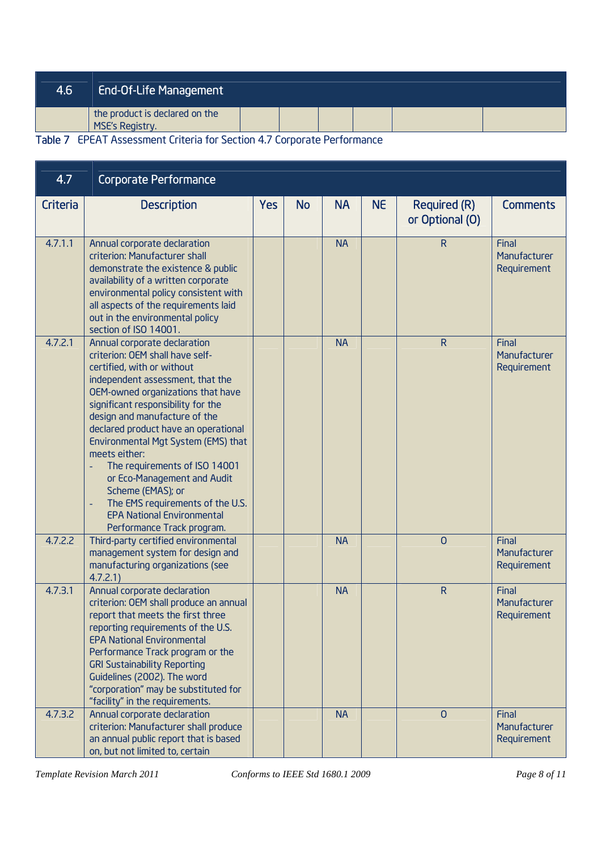| 4.6 | <b>End-Of-Life Management</b>                                             |  |  |  |
|-----|---------------------------------------------------------------------------|--|--|--|
|     | the product is declared on the<br>MSE's Registry.                         |  |  |  |
|     | Teble 7. CDCAT Accessoriat Criteria for Costing A.7 Corporate Decfermance |  |  |  |

Table 7 EPEAT Assessment Criteria for Section 4.7 Corporate Performance

| 4.7      | <b>Corporate Performance</b>                                                                                                                                                                                                                                                                                                                                                                                                                                                                                                              |            |           |           |           |                                        |                                      |
|----------|-------------------------------------------------------------------------------------------------------------------------------------------------------------------------------------------------------------------------------------------------------------------------------------------------------------------------------------------------------------------------------------------------------------------------------------------------------------------------------------------------------------------------------------------|------------|-----------|-----------|-----------|----------------------------------------|--------------------------------------|
| Criteria | <b>Description</b>                                                                                                                                                                                                                                                                                                                                                                                                                                                                                                                        | <b>Yes</b> | <b>No</b> | <b>NA</b> | <b>NE</b> | <b>Required (R)</b><br>or Optional (O) | <b>Comments</b>                      |
| 4.7.1.1  | Annual corporate declaration<br>criterion: Manufacturer shall<br>demonstrate the existence & public<br>availability of a written corporate<br>environmental policy consistent with<br>all aspects of the requirements laid<br>out in the environmental policy<br>section of ISO 14001.                                                                                                                                                                                                                                                    |            |           | <b>NA</b> |           | $\mathsf{R}$                           | Final<br>Manufacturer<br>Requirement |
| 4.7.2.1  | Annual corporate declaration<br>criterion: OEM shall have self-<br>certified, with or without<br>independent assessment, that the<br>OEM-owned organizations that have<br>significant responsibility for the<br>design and manufacture of the<br>declared product have an operational<br>Environmental Mgt System (EMS) that<br>meets either:<br>The requirements of ISO 14001<br>or Eco-Management and Audit<br>Scheme (EMAS); or<br>The EMS requirements of the U.S.<br><b>EPA National Environmental</b><br>Performance Track program. |            |           | <b>NA</b> |           | $\overline{R}$                         | Final<br>Manufacturer<br>Requirement |
| 4.7.2.2  | Third-party certified environmental<br>management system for design and<br>manufacturing organizations (see<br>4.7.2.1                                                                                                                                                                                                                                                                                                                                                                                                                    |            |           | <b>NA</b> |           | $\overline{0}$                         | Final<br>Manufacturer<br>Requirement |
| 4.7.3.1  | Annual corporate declaration<br>criterion: OEM shall produce an annual<br>report that meets the first three<br>reporting requirements of the U.S.<br><b>EPA National Environmental</b><br>Performance Track program or the<br><b>GRI Sustainability Reporting</b><br>Guidelines (2002). The word<br>"corporation" may be substituted for<br>"facility" in the requirements.                                                                                                                                                               |            |           | <b>NA</b> |           | ${\sf R}$                              | Final<br>Manufacturer<br>Requirement |
| 4.7.3.2  | Annual corporate declaration<br>criterion: Manufacturer shall produce<br>an annual public report that is based<br>on, but not limited to, certain                                                                                                                                                                                                                                                                                                                                                                                         |            |           | <b>NA</b> |           | $\Omega$                               | Final<br>Manufacturer<br>Requirement |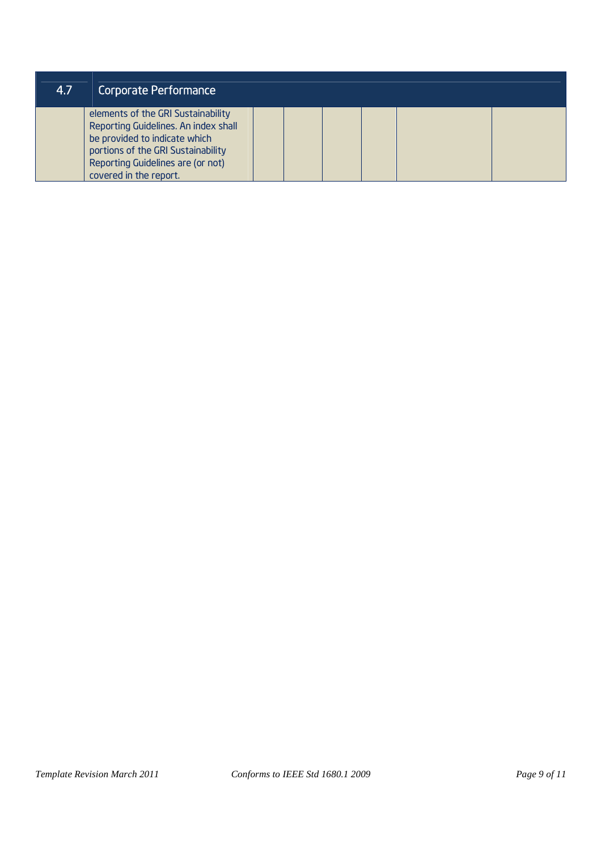| 4.7 | Corporate Performance                                                                                                                                                                                            |  |  |  |
|-----|------------------------------------------------------------------------------------------------------------------------------------------------------------------------------------------------------------------|--|--|--|
|     | elements of the GRI Sustainability<br>Reporting Guidelines. An index shall<br>be provided to indicate which<br>portions of the GRI Sustainability<br>Reporting Guidelines are (or not)<br>covered in the report. |  |  |  |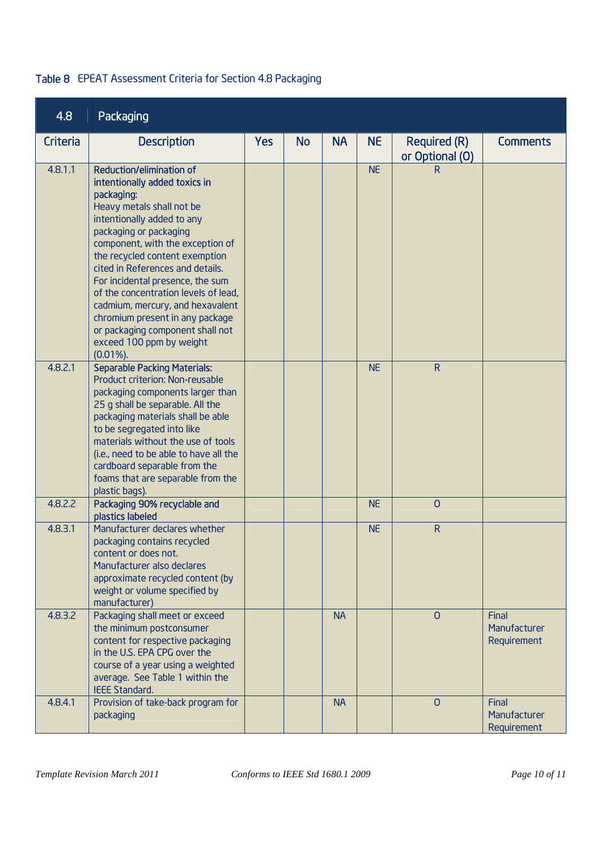## Table 8 EPEAT Assessment Criteria for Section 4.8 Packaging

| 4.8      | Packaging                                                                                                                                                                                                                                                                                                                                                                                                                                                                                                 |            |           |           |           |                                        |                                      |
|----------|-----------------------------------------------------------------------------------------------------------------------------------------------------------------------------------------------------------------------------------------------------------------------------------------------------------------------------------------------------------------------------------------------------------------------------------------------------------------------------------------------------------|------------|-----------|-----------|-----------|----------------------------------------|--------------------------------------|
| Criteria | <b>Description</b>                                                                                                                                                                                                                                                                                                                                                                                                                                                                                        | <b>Yes</b> | <b>No</b> | <b>NA</b> | <b>NE</b> | <b>Required (R)</b><br>or Optional (O) | <b>Comments</b>                      |
| 4.8.1.1  | Reduction/elimination of<br>intentionally added toxics in<br>packaging:<br>Heavy metals shall not be<br>intentionally added to any<br>packaging or packaging<br>component, with the exception of<br>the recycled content exemption<br>cited in References and details.<br>For incidental presence, the sum<br>of the concentration levels of lead,<br>cadmium, mercury, and hexavalent<br>chromium present in any package<br>or packaging component shall not<br>exceed 100 ppm by weight<br>$(0.01\%)$ . |            |           |           | <b>NE</b> | R                                      |                                      |
| 4.8.2.1  | <b>Separable Packing Materials:</b><br>Product criterion: Non-reusable<br>packaging components larger than<br>25 g shall be separable. All the<br>packaging materials shall be able<br>to be segregated into like<br>materials without the use of tools<br>(i.e., need to be able to have all the<br>cardboard separable from the<br>foams that are separable from the<br>plastic bags).                                                                                                                  |            |           |           | <b>NE</b> | R                                      |                                      |
| 4.8.2.2  | Packaging 90% recyclable and<br>plastics labeled                                                                                                                                                                                                                                                                                                                                                                                                                                                          |            |           |           | <b>NE</b> | $\overline{0}$                         |                                      |
| 4.8.3.1  | Manufacturer declares whether<br>packaging contains recycled<br>content or does not.<br>Manufacturer also declares<br>approximate recycled content (by<br>weight or volume specified by<br>manufacturer)                                                                                                                                                                                                                                                                                                  |            |           |           | <b>NE</b> | $\mathsf{R}$                           |                                      |
| 4.8.3.2  | Packaging shall meet or exceed<br>the minimum postconsumer<br>content for respective packaging<br>in the U.S. EPA CPG over the<br>course of a year using a weighted<br>average. See Table 1 within the<br><b>IEEE Standard.</b>                                                                                                                                                                                                                                                                           |            |           | <b>NA</b> |           | $\Omega$                               | Final<br>Manufacturer<br>Requirement |
| 4.8.4.1  | Provision of take-back program for<br>packaging                                                                                                                                                                                                                                                                                                                                                                                                                                                           |            |           | <b>NA</b> |           | $\overline{0}$                         | Final<br>Manufacturer<br>Requirement |